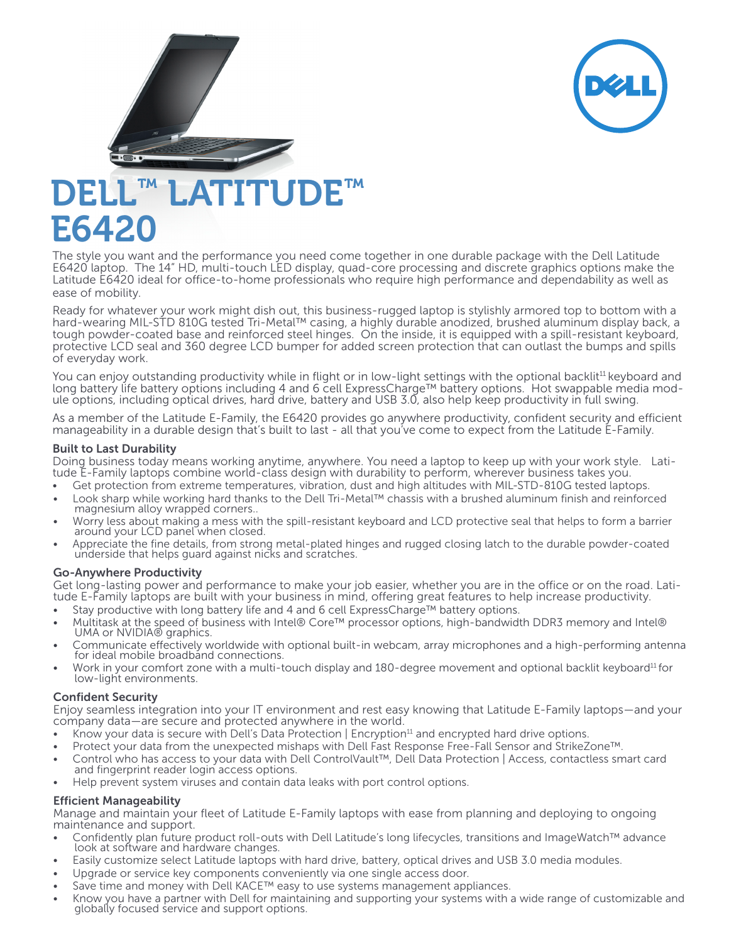



The style you want and the performance you need come together in one durable package with the Dell Latitude E6420 laptop. The 14" HD, multi-touch LED display, quad-core processing and discrete graphics options make the Latitude E6420 ideal for office-to-home professionals who require high performance and dependability as well as ease of mobility.

Ready for whatever your work might dish out, this business-rugged laptop is stylishly armored top to bottom with a hard-wearing MIL-STD 810G tested Tri-Metal™ casing, a highly durable anodized, brushed aluminum display back, a tough powder-coated base and reinforced steel hinges. On the inside, it is equipped with a spill-resistant keyboard, protective LCD seal and 360 degree LCD bumper for added screen protection that can outlast the bumps and spills of everyday work.

You can enjoy outstanding productivity while in flight or in low-light settings with the optional backlit<sup>11</sup> keyboard and long battery life battery options including 4 and 6 cell ExpressCharge™ battery options. Hot swappable media module options, including optical drives, hard drive, battery and USB 3.0, also help keep productivity in full swing.

As a member of the Latitude E-Family, the E6420 provides go anywhere productivity, confident security and efficient manageability in a durable design that's built to last - all that you've come to expect from the Latitude E-Family.

**Built to Last Durability**<br>Doing business today means working anytime, anywhere. You need a laptop to keep up with your work style. Latitude E-Family laptops combine world-class design with durability to perform, wherever business takes you.

- • Get protection from extreme temperatures, vibration, dust and high altitudes with MIL-STD-810G tested laptops.
- Look sharp while working hard thanks to the Dell Tri-Metal™ chassis with a brushed aluminum finish and reinforced magnesium alloy wrapped corners..
- Worry less about making a mess with the spill-resistant keyboard and LCD protective seal that helps to form a barrier around your LCD panel when closed.
- • Appreciate the fine details, from strong metal-plated hinges and rugged closing latch to the durable powder-coated underside that helps guard against nicks and scratches.

## Go-Anywhere Productivity

Get long-lasting power and performance to make your job easier, whether you are in the office or on the road. Lati-<br>tude E-Family laptops are built with your business in mind, offering great features to help increase produ

- Stay productive with long battery life and 4 and 6 cell ExpressCharge™ battery options.
- Multitask at the speed of business with Intel® Core™ processor options, high-bandwidth DDR3 memory and Intel® UMA or NVIDIA® graphics.
- Communicate effectively worldwide with optional built-in webcam, array microphones and a high-performing antenna for ideal mobile broadband connections.
- Work in your comfort zone with a multi-touch display and 180-degree movement and optional backlit keyboard<sup>11</sup> for low-light environments.

## Confident Security

Enjoy seamless integration into your IT environment and rest easy knowing that Latitude E-Family laptops—and your company data—are secure and protected anywhere in the world.

- Know your data is secure with Dell's Data Protection | Encryption<sup>11</sup> and encrypted hard drive options.
- Protect your data from the unexpected mishaps with Dell Fast Response Free-Fall Sensor and StrikeZone™.
- Control who has access to your data with Dell ControlVault™, Dell Data Protection | Access, contactless smart card and fingerprint reader login access options.
- Help prevent system viruses and contain data leaks with port control options.

## Efficient Manageability

Manage and maintain your fleet of Latitude E-Family laptops with ease from planning and deploying to ongoing maintenance and support.

- Confidently plan future product roll-outs with Dell Latitude's long lifecycles, transitions and ImageWatch™ advance look at software and hardware changes.
- Easily customize select Latitude laptops with hard drive, battery, optical drives and USB 3.0 media modules.
- Upgrade or service key components conveniently via one single access door.
- Save time and money with Dell KACE™ easy to use systems management appliances.
- Know you have a partner with Dell for maintaining and supporting your systems with a wide range of customizable and globally focused service and support options.